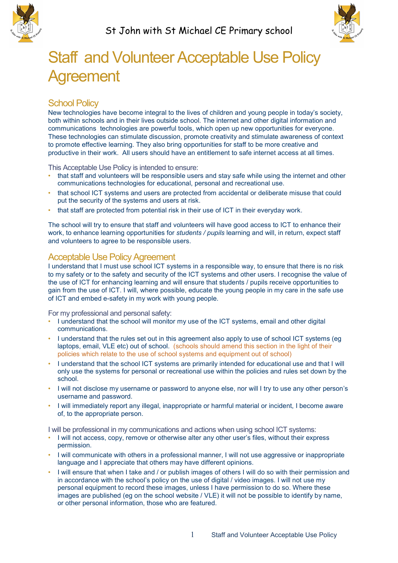



## Staff and Volunteer Acceptable Use Policy Agreement

## School Policy

New technologies have become integral to the lives of children and young people in today's society, both within schools and in their lives outside school. The internet and other digital information and communications technologies are powerful tools, which open up new opportunities for everyone. These technologies can stimulate discussion, promote creativity and stimulate awareness of context to promote effective learning. They also bring opportunities for staff to be more creative and productive in their work. All users should have an entitlement to safe internet access at all times.

This Acceptable Use Policy is intended to ensure:

- that staff and volunteers will be responsible users and stay safe while using the internet and other communications technologies for educational, personal and recreational use.
- that school ICT systems and users are protected from accidental or deliberate misuse that could put the security of the systems and users at risk.
- that staff are protected from potential risk in their use of ICT in their everyday work.

The school will try to ensure that staff and volunteers will have good access to ICT to enhance their work, to enhance learning opportunities for *students / pupils* learning and will, in return, expect staff and volunteers to agree to be responsible users.

## Acceptable Use Policy Agreement

I understand that I must use school ICT systems in a responsible way, to ensure that there is no risk to my safety or to the safety and security of the ICT systems and other users. I recognise the value of the use of ICT for enhancing learning and will ensure that students / pupils receive opportunities to gain from the use of ICT. I will, where possible, educate the young people in my care in the safe use of ICT and embed e-safety in my work with young people.

For my professional and personal safety:

- I understand that the school will monitor my use of the ICT systems, email and other digital communications.
- I understand that the rules set out in this agreement also apply to use of school ICT systems (eg laptops, email, VLE etc) out of school. (schools should amend this section in the light of their policies which relate to the use of school systems and equipment out of school)
- I understand that the school ICT systems are primarily intended for educational use and that I will only use the systems for personal or recreational use within the policies and rules set down by the school.
- I will not disclose my username or password to anyone else, nor will I try to use any other person's username and password.
- I will immediately report any illegal, inappropriate or harmful material or incident, I become aware of, to the appropriate person.

I will be professional in my communications and actions when using school ICT systems:

- I will not access, copy, remove or otherwise alter any other user's files, without their express permission.
- I will communicate with others in a professional manner, I will not use aggressive or inappropriate language and I appreciate that others may have different opinions.
- I will ensure that when I take and / or publish images of others I will do so with their permission and in accordance with the school's policy on the use of digital / video images. I will not use my personal equipment to record these images, unless I have permission to do so. Where these images are published (eg on the school website / VLE) it will not be possible to identify by name, or other personal information, those who are featured.